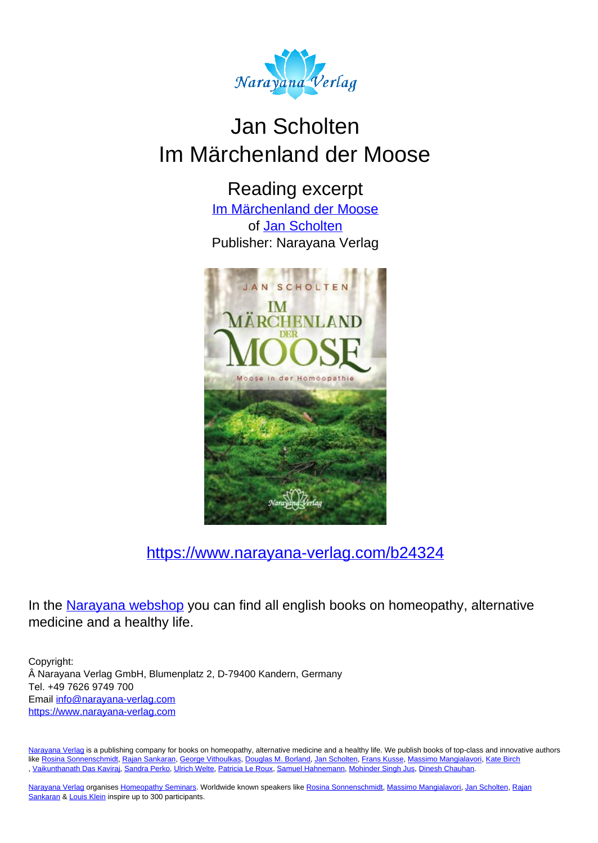

# Jan Scholten Im Märchenland der Moose

Reading excerpt

[Im Märchenland der Moose](https://www.narayana-verlag.com/Im-Maerchenland-der-Moose-Jan-Scholten/b24324/partner/leseprobe) of [Jan Scholten](https://www.narayana-verlag.com/Jan-Scholten/a777/partner/leseprobe) Publisher: Narayana Verlag



[https://www.narayana-verlag.com/b24324](https://www.narayana-verlag.com/Im-Maerchenland-der-Moose-Jan-Scholten/b24324/partner/leseprobe)

In the Narayana webshop you can find all english books on homeopathy, alternative medicine and a healthy life.

Copyright: Narayana Verlag GmbH, Blumenplatz 2, D-79400 Kandern, Germany Tel. +49 7626 9749 700 Email [info@narayana-verlag.com](mailto:info@narayana-verlag.com) https://www.narayana-verlag.com

Narayana Verlag is a publishing company for books on homeopathy, alternative medicine and a healthy life. We publish books of top-class and innovative authors like Rosina Sonnenschmidt, Rajan Sankaran, George Vithoulkas, Douglas M. Borland, Jan Scholten, Frans Kusse, Massimo Mangialavori, Kate Birch<br>, Vaikunthanath Das Kavirai, Sandra Perko, Ulrich Welte, Patricia Le Roux, Samue

Narayana Verlag organises Homeopathy Seminars. Worldwide known speakers like Rosina Sonnenschmidt, Massimo Mangialavori, Jan Scholten, Rajan Sankaran & Louis Klein inspire up to 300 participants.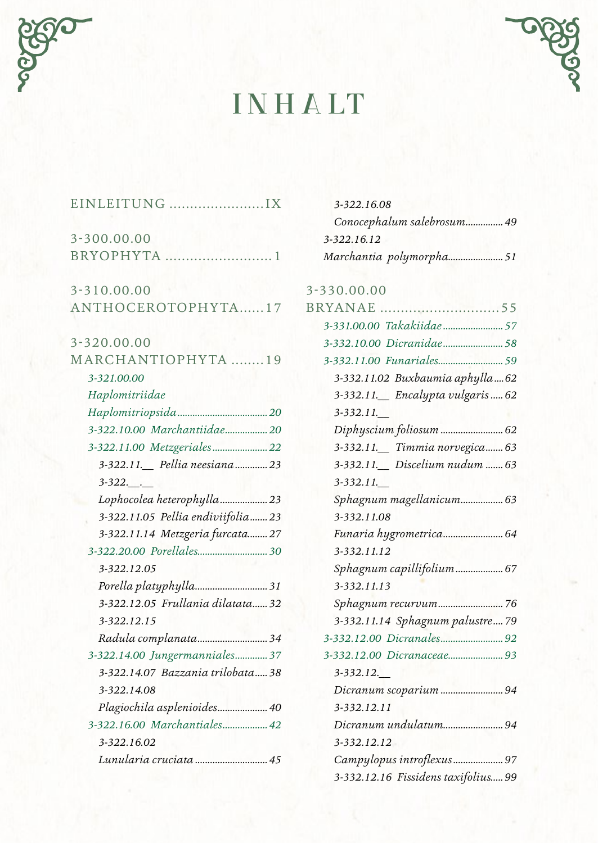

# **INHALT**



| 3-300.00.00                        |  |
|------------------------------------|--|
| BRYOPHYTA<br>. 1                   |  |
| 3-310.00.00                        |  |
| ANTHOCEROTOPHYTA17                 |  |
| 3-320.00.00                        |  |
| MARCHANTIOPHYTA 19                 |  |
| 3-321.00.00                        |  |
| Haplomitriidae                     |  |
|                                    |  |
| 3-322.10.00 Marchantiidae 20       |  |
| 3-322.11.00 Metzgeriales 22        |  |
| 3-322.11. Pellia neesiana 23       |  |
| $3 - 322$ .                        |  |
| Lophocolea heterophylla 23         |  |
| 3-322.11.05 Pellia endiviifolia 23 |  |
| 3-322.11.14 Metzgeria furcata 27   |  |
|                                    |  |
| 3-322.12.05                        |  |
|                                    |  |
| 3-322.12.05 Frullania dilatata 32  |  |
| 3-322.12.15                        |  |
| Radula complanata 34               |  |
| 3-322.14.00 Jungermanniales 37     |  |
| 3-322.14.07 Bazzania trilobata 38  |  |
| 3-322.14.08                        |  |
| Plagiochila asplenioides 40        |  |
| 3-322.16.00 Marchantiales 42       |  |
| 3-322.16.02                        |  |
| Lunularia cruciata  45             |  |

| 3-322.16.08                                        |  |
|----------------------------------------------------|--|
| Conocephalum salebrosum 49                         |  |
| 3-322.16.12                                        |  |
| Marchantia polymorpha51                            |  |
|                                                    |  |
| $3 - 330.00.00$                                    |  |
|                                                    |  |
|                                                    |  |
|                                                    |  |
|                                                    |  |
| $22221102$ $D$ ushowing orcher $ll_a$ $\epsilon_2$ |  |

| .                                   |
|-------------------------------------|
| 3-332.11.02 Buxbaumia aphylla  62   |
| 3-332.11. Encalypta vulgaris  62    |
| 3-332.11.                           |
| Diphyscium foliosum  62             |
| 3-332.11. Timmia norvegica 63       |
| 3-332.11. Discelium nudum  63       |
| 3-332.11.                           |
| Sphagnum magellanicum 63            |
| 3-332.11.08                         |
| Funaria hygrometrica 64             |
| 3-332.11.12                         |
| Sphagnum capillifolium 67           |
| 3-332.11.13                         |
| Sphagnum recurvum76                 |
| 3-332.11.14 Sphagnum palustre 79    |
|                                     |
|                                     |
| 3-332.12.                           |
| Dicranum scoparium  94              |
| 3-332.12.11                         |
| Dicranum undulatum94                |
| 3-332.12.12                         |
| Campylopus introflexus 97           |
| 3-332.12.16 Fissidens taxifolius 99 |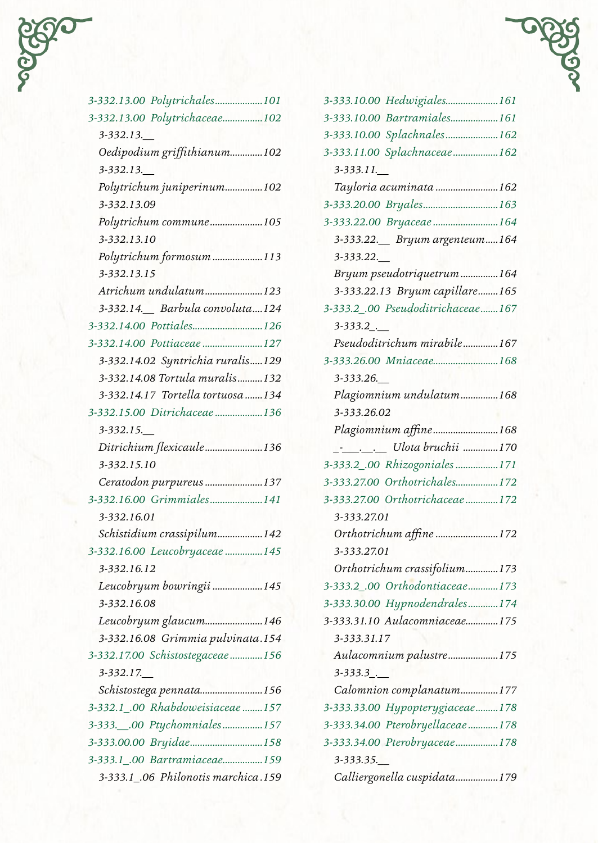| f,<br>¢, |  |
|----------|--|
|          |  |
|          |  |

| 3-332.13.00 Polytrichales101        |
|-------------------------------------|
| 3-332.13.00 Polytrichaceae102       |
| $3 - 332.13$ .                      |
| Oedipodium griffithianum102         |
| $3 - 332.13$ .                      |
| Polytrichum juniperinum102          |
| 3-332.13.09                         |
| Polytrichum commune105              |
| 3-332.13.10                         |
| Polytrichum formosum113             |
| 3-332.13.15                         |
| Atrichum undulatum123               |
| 3-332.14. Barbula convoluta124      |
| 3-332.14.00 Pottiales126            |
| 3-332.14.00 Pottiaceae127           |
| 3-332.14.02 Syntrichia ruralis129   |
| 3-332.14.08 Tortula muralis132      |
| 3-332.14.17 Tortella tortuosa134    |
| 3-332.15.00 Ditrichaceae 136        |
| $3 - 332.15$ .                      |
| Ditrichium flexicaule136            |
| 3-332.15.10                         |
| Ceratodon purpureus 137             |
| 3-332.16.00 Grimmiales141           |
| 3-332.16.01                         |
| Schistidium crassipilum142          |
| 3-332.16.00 Leucobryaceae  145      |
| 3-332.16.12                         |
| Leucobryum bowringii 145            |
| 3-332.16.08                         |
| Leucobryum glaucum146               |
| 3-332.16.08 Grimmia pulvinata.154   |
| 3-332.17.00 Schistostegaceae 156    |
| 3-332.17.                           |
| Schistostega pennata156             |
| 3-332.1_.00 Rhabdoweisiaceae 157    |
|                                     |
| 3-333.00.00 Bryidae158              |
| 3-333.1_.00 Bartramiaceae159        |
| 3-333.1_.06 Philonotis marchica.159 |

| 3-333.10.00 Hedwigiales161                |  |
|-------------------------------------------|--|
| 3-333.10.00 Bartramiales161               |  |
| 3-333.10.00 Splachnales162                |  |
| 3-333.11.00 Splachnaceae162               |  |
| 3-333.11.                                 |  |
| Tayloria acuminata 162                    |  |
| 3-333.20.00 Bryales163                    |  |
| 3-333.22.00 Втуасеае  164                 |  |
| 3-333.22. Bryum argenteum164<br>3-333.22. |  |
| Bryum pseudotriquetrum164                 |  |
| 3-333.22.13 Bryum capillare165            |  |
| 3-333.2 .00 Pseudoditrichaceae167         |  |
| $3 - 333.2$                               |  |
| Pseudoditrichum mirabile167               |  |
| 3-333.26.00 Mniaceae168                   |  |
| 3-333.26.                                 |  |
| Plagiomnium undulatum168                  |  |
| 3-333.26.02                               |  |
| Plagiomnium affine168                     |  |
| ____________ Ulota bruchii 170            |  |
| 3-333.2_.00 Rhizogoniales 171             |  |
| 3-333.27.00 Orthotrichales172             |  |
| 3-333.27.00 Orthotrichaceae172            |  |
| 3-333.27.01                               |  |
| Orthotrichum affine 172                   |  |
| 3-333.27.01                               |  |
| Orthotrichum crassifolium173              |  |
| 3-333.2_.00 Orthodontiaceae173            |  |
| 3-333.30.00 Hypnodendrales174             |  |
| 3-333.31.10 Aulacomniaceae175             |  |
| 3-333.31.17                               |  |
| Aulacomnium palustre175                   |  |
| 3-333.3.                                  |  |
| Calomnion complanatum177                  |  |
| 3-333.33.00 Hypopterygiaceae178           |  |
| 3-333.34.00 Pterobryellaceae 178          |  |
| 3-333.34.00 Pterobryaceae178              |  |
| 3-333.35.                                 |  |
| Calliergonella cuspidata179               |  |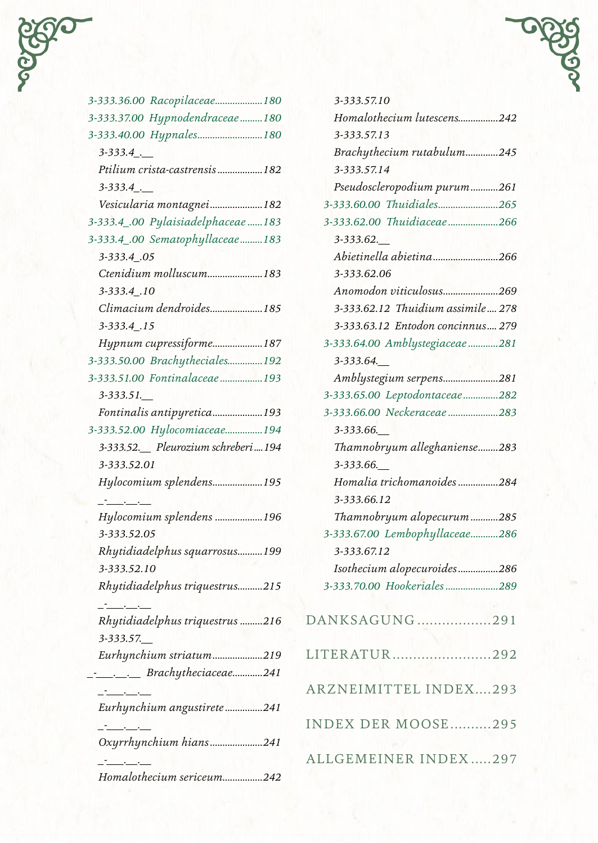

| 3-333.36.00 Racopilaceae180            |
|----------------------------------------|
| 3-333.37.00 Hypnodendraceae  180       |
| 3-333.40.00 Hypnales180                |
| $3 - 333.4$                            |
| Ptilium crista-castrensis182           |
| $3 - 333.4$                            |
| Vesicularia montagnei182               |
| 3-333.4_.00 Pylaisiadelphaceae183      |
| 3-333.4_.00 Sematophyllaceae183        |
| 3-333.4.05                             |
| Ctenidium molluscum183                 |
| 3-333.4_.10                            |
| Climacium dendroides185                |
| 3-333.4.15                             |
| Hypnum cupressiforme187                |
| 3-333.50.00 Brachytheciales192         |
| 3-333.51.00 Fontinalaceae193           |
| $3 - 333.51$ .                         |
| Fontinalis antipyretica193             |
| 3-333.52.00 Hylocomiaceae194           |
| 3-333.52. Pleurozium schreberi  194    |
| 3-333.52.01                            |
| Hylocomium splendens195                |
| سادسا فسنتحث                           |
| Hylocomium splendens 196               |
| 3-333.52.05                            |
| Rhytidiadelphus squarrosus199          |
| 3-333.52.10                            |
| Rhytidiadelphus triquestrus215         |
| $\mathbf{I}$ . The set of $\mathbf{I}$ |
| Rhytidiadelphus triquestrus 216        |
| 3-333.57.                              |
| Eurhynchium striatum219                |
| Brachytheciaceae241                    |
| المستحققات والمستأثر                   |
| Eurhynchium angustirete241             |
| للمستحسنات                             |
| Oxyrrhynchium hians241                 |
|                                        |
| Homalothecium sericeum242              |

| 3-333.57.10                        |  |
|------------------------------------|--|
| Homalothecium lutescens242         |  |
| 3-333.57.13                        |  |
| Brachythecium rutabulum245         |  |
| 3-333.57.14                        |  |
| Pseudoscleropodium purum261        |  |
| 3-333.60.00 Thuidiales265          |  |
| 3-333.62.00 Thuidiaceae266         |  |
| 3-333.62.                          |  |
| Abietinella abietina266            |  |
| 3-333.62.06                        |  |
| Anomodon viticulosus269            |  |
| 3-333.62.12 Thuidium assimile  278 |  |
| 3-333.63.12 Entodon concinnus 279  |  |
| 3-333.64.00 Amblystegiaceae281     |  |
| 3-333.64.                          |  |
| Amblystegium serpens281            |  |
| 3-333.65.00 Leptodontaceae282      |  |
| 3-333.66.00 Neckeraceae 283        |  |
| 3-333.66.                          |  |
| Thamnobryum alleghaniense283       |  |
| 3-333.66.                          |  |
| Homalia trichomanoides284          |  |
| 3-333.66.12                        |  |
| Thamnobryum alopecurum285          |  |
| 3-333.67.00 Lembophyllaceae286     |  |
| 3-333.67.12                        |  |
| Isothecium alopecuroides286        |  |
| 3-333.70.00 Hookeriales289         |  |
|                                    |  |
| DANKSAGUNG291                      |  |
|                                    |  |
| LITERATUR<br>292                   |  |
|                                    |  |
| ARZNEIMITTEL INDEX293              |  |
|                                    |  |
| INDEX DER MOOSE295                 |  |
|                                    |  |
| ALLGEMEINER INDEX297               |  |
|                                    |  |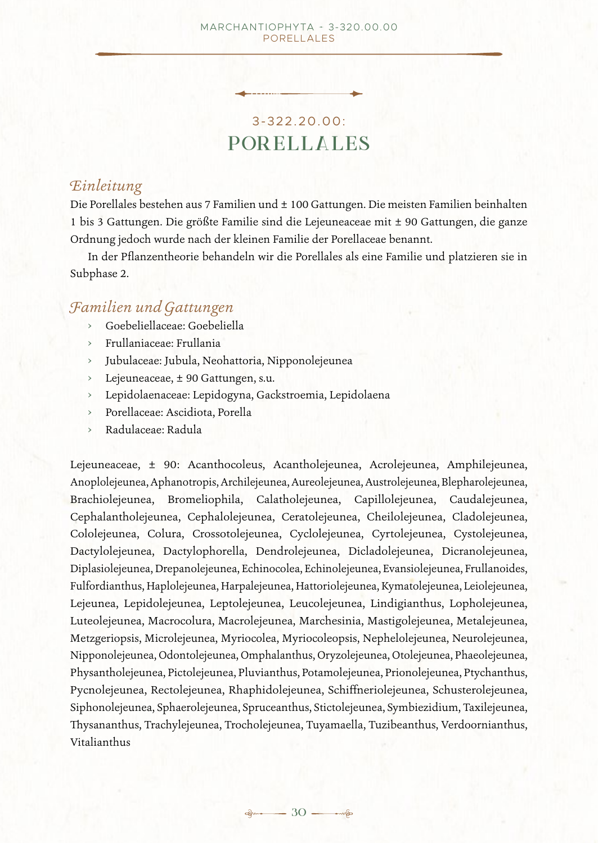# 3-322.20.00: **Porellales**

### *Einleitung*

Die Porellales bestehen aus 7 Familien und ± 100 Gattungen. Die meisten Familien beinhalten 1 bis 3 Gattungen. Die größte Familie sind die Lejeuneaceae mit ± 90 Gattungen, die ganze Ordnung jedoch wurde nach der kleinen Familie der Porellaceae benannt.

In der Pflanzentheorie behandeln wir die Porellales als eine Familie und platzieren sie in Subphase 2.

# *Familien und Gattungen*

- › Goebeliellaceae: Goebeliella
- › Frullaniaceae: Frullania
- › Jubulaceae: Jubula, Neohattoria, Nipponolejeunea
- › Lejeuneaceae, ± 90 Gattungen, s.u.
- › Lepidolaenaceae: Lepidogyna, Gackstroemia, Lepidolaena
- › Porellaceae: Ascidiota, Porella
- › Radulaceae: Radula

Lejeuneaceae, ± 90: Acanthocoleus, Acantholejeunea, Acrolejeunea, Amphilejeunea, Anoplolejeunea, Aphanotropis, Archilejeunea, Aureolejeunea, Austrolejeunea, Blepharolejeunea, Brachiolejeunea, Bromeliophila, Calatholejeunea, Capillolejeunea, Caudalejeunea, Cephalantholejeunea, Cephalolejeunea, Ceratolejeunea, Cheilolejeunea, Cladolejeunea, Cololejeunea, Colura, Crossotolejeunea, Cyclolejeunea, Cyrtolejeunea, Cystolejeunea, Dactylolejeunea, Dactylophorella, Dendrolejeunea, Dicladolejeunea, Dicranolejeunea, Diplasiolejeunea, Drepanolejeunea, Echinocolea, Echinolejeunea, Evansiolejeunea, Frullanoides, Fulfordianthus, Haplolejeunea, Harpalejeunea, Hattoriolejeunea, Kymatolejeunea, Leiolejeunea, Lejeunea, Lepidolejeunea, Leptolejeunea, Leucolejeunea, Lindigianthus, Lopholejeunea, Luteolejeunea, Macrocolura, Macrolejeunea, Marchesinia, Mastigolejeunea, Metalejeunea, Metzgeriopsis, Microlejeunea, Myriocolea, Myriocoleopsis, Nephelolejeunea, Neurolejeunea, Nipponolejeunea, Odontolejeunea, Omphalanthus, Oryzolejeunea, Otolejeunea, Phaeolejeunea, Physantholejeunea, Pictolejeunea, Pluvianthus, Potamolejeunea, Prionolejeunea, Ptychanthus, Pycnolejeunea, Rectolejeunea, Rhaphidolejeunea, Schiffneriolejeunea, Schusterolejeunea, Siphonolejeunea, Sphaerolejeunea, Spruceanthus, Stictolejeunea, Symbiezidium, Taxilejeunea, Thysananthus, Trachylejeunea, Trocholejeunea, Tuyamaella, Tuzibeanthus, Verdoornianthus, Vitalianthus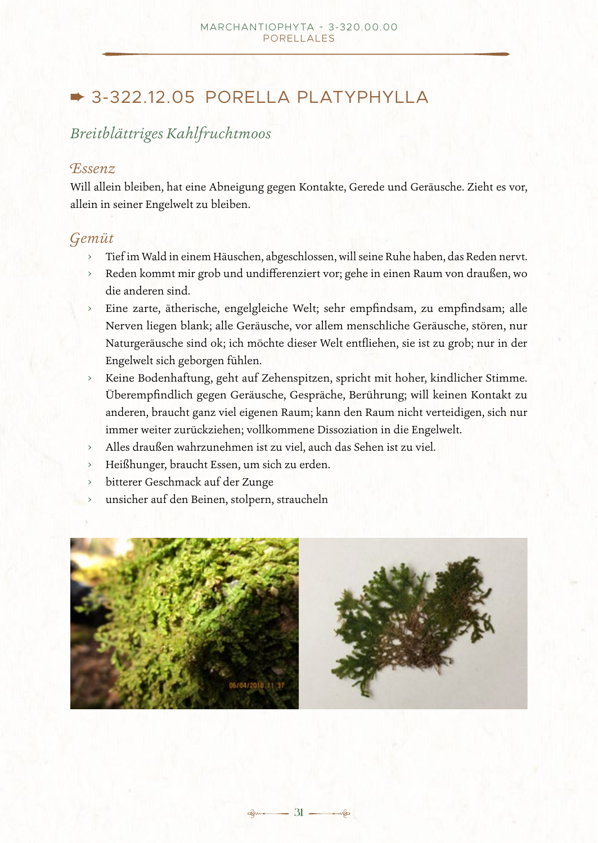# $\rightarrow$  3-322.12.05 PORELLA PLATYPHYLLA

# *Breitblättriges Kahlfruchtmoos*

# *Essenz*

Will allein bleiben, hat eine Abneigung gegen Kontakte, Gerede und Geräusche. Zieht es vor, allein in seiner Engelwelt zu bleiben.

# *Gemüt*

- › Tief im Wald in einem Häuschen, abgeschlossen, will seine Ruhe haben, das Reden nervt.
- › Reden kommt mir grob und undifferenziert vor; gehe in einen Raum von draußen, wo die anderen sind.
- › Eine zarte, ätherische, engelgleiche Welt; sehr empfindsam, zu empfindsam; alle Nerven liegen blank; alle Geräusche, vor allem menschliche Geräusche, stören, nur Naturgeräusche sind ok; ich möchte dieser Welt entfliehen, sie ist zu grob; nur in der Engelwelt sich geborgen fühlen.
- › Keine Bodenhaftung, geht auf Zehenspitzen, spricht mit hoher, kindlicher Stimme. Überempfindlich gegen Geräusche, Gespräche, Berührung; will keinen Kontakt zu anderen, braucht ganz viel eigenen Raum; kann den Raum nicht verteidigen, sich nur immer weiter zurückziehen; vollkommene Dissoziation in die Engelwelt.
- › Alles draußen wahrzunehmen ist zu viel, auch das Sehen ist zu viel.
- Heißhunger, braucht Essen, um sich zu erden.
- bitterer Geschmack auf der Zunge
- unsicher auf den Beinen, stolpern, straucheln

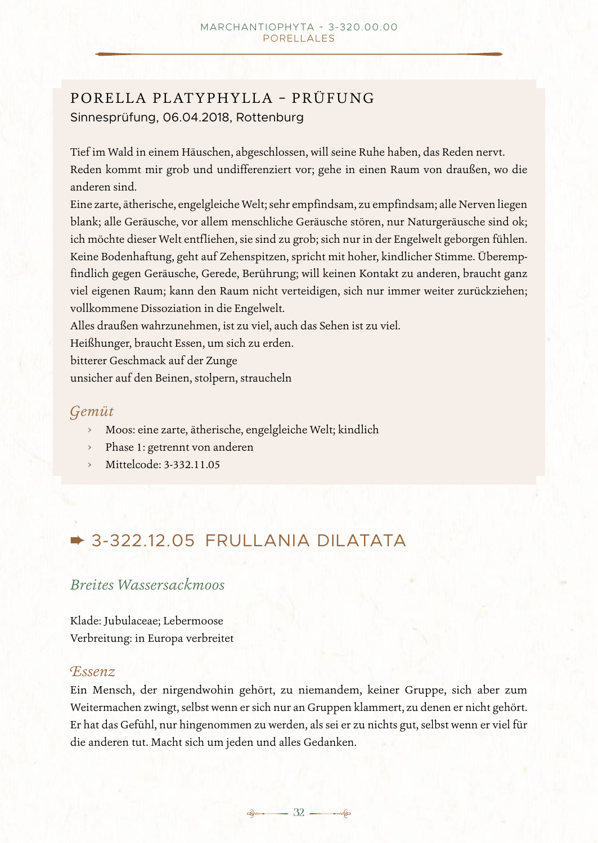# PORELLA PLATYPHYLLA – PRÜFUNG Sinnesprüfung, 06.04.2018, Rottenburg

Tief im Wald in einem Häuschen, abgeschlossen, will seine Ruhe haben, das Reden nervt. Reden kommt mir grob und undifferenziert vor; gehe in einen Raum von draußen, wo die anderen sind.

Eine zarte, ätherische, engelgleiche Welt; sehr empfindsam, zu empfindsam; alle Nerven liegen blank; alle Geräusche, vor allem menschliche Geräusche stören, nur Naturgeräusche sind ok; ich möchte dieser Welt entfliehen, sie sind zu grob; sich nur in der Engelwelt geborgen fühlen. Keine Bodenhaftung, geht auf Zehenspitzen, spricht mit hoher, kindlicher Stimme. Überempfindlich gegen Geräusche, Gerede, Berührung; will keinen Kontakt zu anderen, braucht ganz viel eigenen Raum; kann den Raum nicht verteidigen, sich nur immer weiter zurückziehen; vollkommene Dissoziation in die Engelwelt.

Alles draußen wahrzunehmen, ist zu viel, auch das Sehen ist zu viel.

Heißhunger, braucht Essen, um sich zu erden.

bitterer Geschmack auf der Zunge

unsicher auf den Beinen, stolpern, straucheln

# *Gemüt*

- › Moos: eine zarte, ätherische, engelgleiche Welt; kindlich
- › Phase 1: getrennt von anderen
- › Mittelcode: 3-332.11.05

# $\rightarrow$  3-322.12.05 FRULLANIA DILATATA

# *Breites Wassersackmoos*

Klade: Jubulaceae; Lebermoose Verbreitung: in Europa verbreitet

### *Essenz*

Ein Mensch, der nirgendwohin gehört, zu niemandem, keiner Gruppe, sich aber zum Weitermachen zwingt, selbst wenn er sich nur an Gruppen klammert, zu denen er nicht gehört. Er hat das Gefühl, nur hingenommen zu werden, als sei er zu nichts gut, selbst wenn er viel für die anderen tut. Macht sich um jeden und alles Gedanken.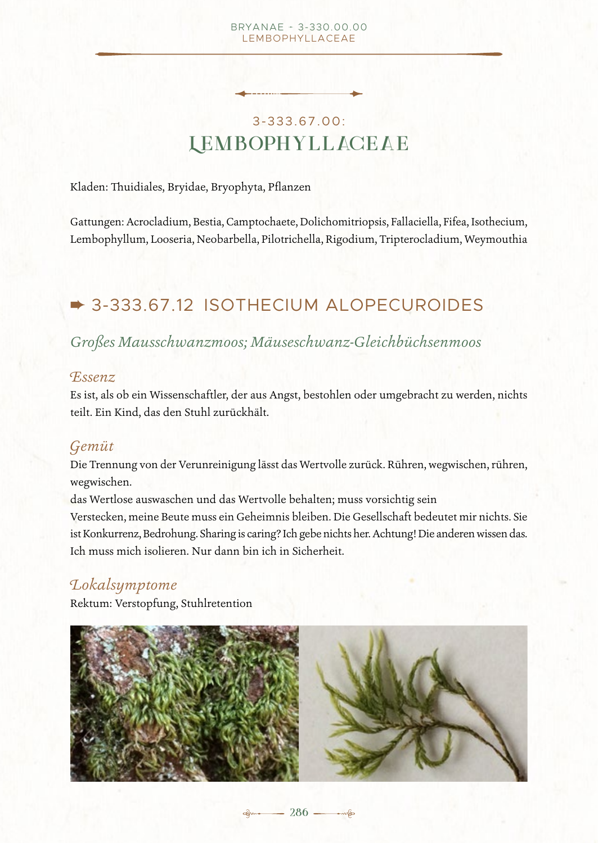#### BRYANAE - 3-330.00.00 Lembophyllaceae

# 3-333.67.00: **Lem bophy l lac ea e**

Kladen: Thuidiales, Bryidae, Bryophyta, Pflanzen

Gattungen: Acrocladium, Bestia, Camptochaete, Dolichomitriopsis, Fallaciella, Fifea, Isothecium, Lembophyllum, Looseria, Neobarbella, Pilotrichella, Rigodium, Tripterocladium, Weymouthia

# **→ 3-333.67.12 ISOTHECIUM ALOPECUROIDES**

# *Großes Mausschwanzmoos; Mäuseschwanz-Gleichbüchsenmoos*

### *Essenz*

Es ist, als ob ein Wissenschaftler, der aus Angst, bestohlen oder umgebracht zu werden, nichts teilt. Ein Kind, das den Stuhl zurückhält.

# *Gemüt*

Die Trennung von der Verunreinigung lässt das Wertvolle zurück. Rühren, wegwischen, rühren, wegwischen.

das Wertlose auswaschen und das Wertvolle behalten; muss vorsichtig sein Verstecken, meine Beute muss ein Geheimnis bleiben. Die Gesellschaft bedeutet mir nichts. Sie ist Konkurrenz, Bedrohung. Sharing is caring? Ich gebe nichts her. Achtung! Die anderen wissen das. Ich muss mich isolieren. Nur dann bin ich in Sicherheit.

# *Lokalsymptome*

Rektum: Verstopfung, Stuhlretention

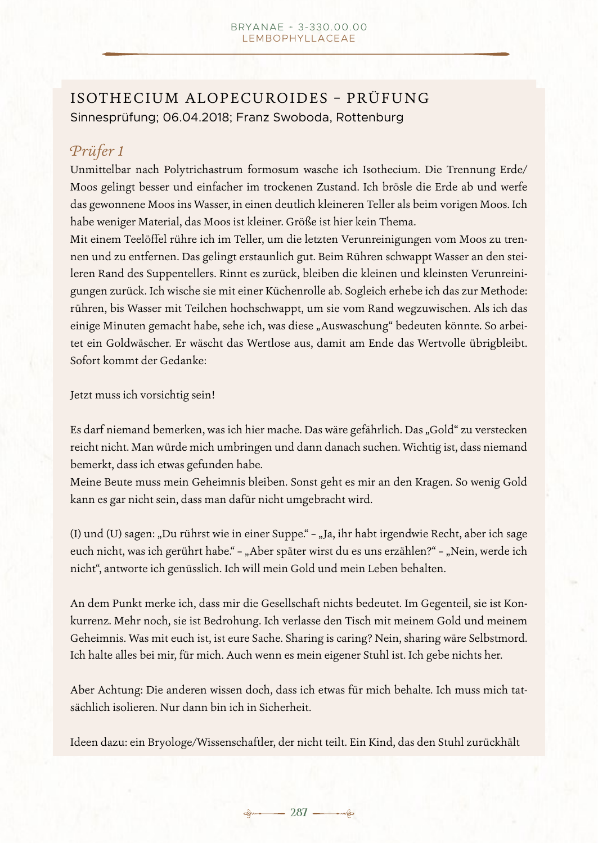# ISOTHECIUM ALOPECUROIDES - PRÜFUNG Sinnesprüfung; 06.04.2018; Franz Swoboda, Rottenburg

# *Prüfer 1*

Unmittelbar nach Polytrichastrum formosum wasche ich Isothecium. Die Trennung Erde/ Moos gelingt besser und einfacher im trockenen Zustand. Ich brösle die Erde ab und werfe das gewonnene Moos ins Wasser, in einen deutlich kleineren Teller als beim vorigen Moos. Ich habe weniger Material, das Moos ist kleiner. Größe ist hier kein Thema.

Mit einem Teelöffel rühre ich im Teller, um die letzten Verunreinigungen vom Moos zu trennen und zu entfernen. Das gelingt erstaunlich gut. Beim Rühren schwappt Wasser an den steileren Rand des Suppentellers. Rinnt es zurück, bleiben die kleinen und kleinsten Verunreinigungen zurück. Ich wische sie mit einer Küchenrolle ab. Sogleich erhebe ich das zur Methode: rühren, bis Wasser mit Teilchen hochschwappt, um sie vom Rand wegzuwischen. Als ich das einige Minuten gemacht habe, sehe ich, was diese "Auswaschung" bedeuten könnte. So arbeitet ein Goldwäscher. Er wäscht das Wertlose aus, damit am Ende das Wertvolle übrigbleibt. Sofort kommt der Gedanke:

Jetzt muss ich vorsichtig sein!

Es darf niemand bemerken, was ich hier mache. Das wäre gefährlich. Das "Gold" zu verstecken reicht nicht. Man würde mich umbringen und dann danach suchen. Wichtig ist, dass niemand bemerkt, dass ich etwas gefunden habe.

Meine Beute muss mein Geheimnis bleiben. Sonst geht es mir an den Kragen. So wenig Gold kann es gar nicht sein, dass man dafür nicht umgebracht wird.

(I) und (U) sagen: "Du rührst wie in einer Suppe." – "Ja, ihr habt irgendwie Recht, aber ich sage euch nicht, was ich gerührt habe." – "Aber später wirst du es uns erzählen?" – "Nein, werde ich nicht", antworte ich genüsslich. Ich will mein Gold und mein Leben behalten.

An dem Punkt merke ich, dass mir die Gesellschaft nichts bedeutet. Im Gegenteil, sie ist Konkurrenz. Mehr noch, sie ist Bedrohung. Ich verlasse den Tisch mit meinem Gold und meinem Geheimnis. Was mit euch ist, ist eure Sache. Sharing is caring? Nein, sharing wäre Selbstmord. Ich halte alles bei mir, für mich. Auch wenn es mein eigener Stuhl ist. Ich gebe nichts her.

Aber Achtung: Die anderen wissen doch, dass ich etwas für mich behalte. Ich muss mich tatsächlich isolieren. Nur dann bin ich in Sicherheit.

Ideen dazu: ein Bryologe/Wissenschaftler, der nicht teilt. Ein Kind, das den Stuhl zurückhält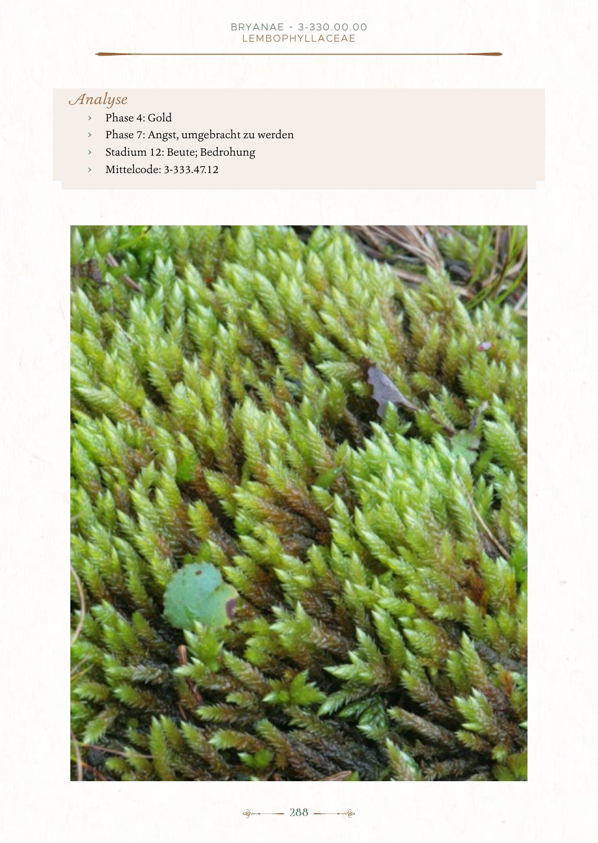#### BRYANAE + 3-330.00.00 Lembophyllaceae

# *Analyse*

- › Phase 4: Gold
- › Phase 7: Angst, umgebracht zu werden
- › Stadium 12: Beute; Bedrohung
- › Mittelcode: 3-333.47.12



**288** — 288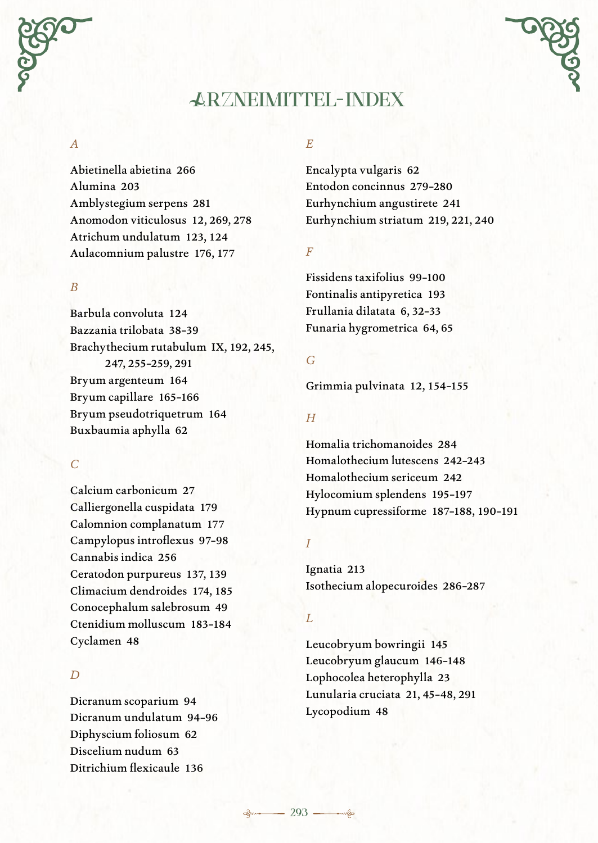

#### *A*

Abietinella abietina 266 Alumina 203 Amblystegium serpens 281 Anomodon viticulosus 12, 269, 278 Atrichum undulatum 123, 124 Aulacomnium palustre 176, 177

#### *B*

Barbula convoluta 124 Bazzania trilobata 38–39 Brachythecium rutabulum IX, 192, 245, 247, 255–259, 291 Bryum argenteum 164 Bryum capillare 165–166 Bryum pseudotriquetrum 164 Buxbaumia aphylla 62

#### *C*

Calcium carbonicum 27 Calliergonella cuspidata 179 Calomnion complanatum 177 Campylopus introflexus 97–98 Cannabis indica 256 Ceratodon purpureus 137, 139 Climacium dendroides 174, 185 Conocephalum salebrosum 49 Ctenidium molluscum 183–184 Cyclamen 48

### *D*

Dicranum scoparium 94 Dicranum undulatum 94–96 Diphyscium foliosum 62 Discelium nudum 63 Ditrichium flexicaule 136

#### *E*

Encalypta vulgaris 62 Entodon concinnus 279–280 Eurhynchium angustirete 241 Eurhynchium striatum 219, 221, 240

*F*

Fissidens taxifolius 99–100 Fontinalis antipyretica 193 Frullania dilatata 6, 32–33 Funaria hygrometrica 64, 65

#### *G*

Grimmia pulvinata 12, 154–155

#### *H*

Homalia trichomanoides 284 Homalothecium lutescens 242–243 Homalothecium sericeum 242 Hylocomium splendens 195–197 Hypnum cupressiforme 187–188, 190–191

#### *I*

Ignatia 213 Isothecium alopecuroides 286–287

#### *L*

Leucobryum bowringii 145 Leucobryum glaucum 146–148 Lophocolea heterophylla 23 Lunularia cruciata 21, 45–48, 291 Lycopodium 48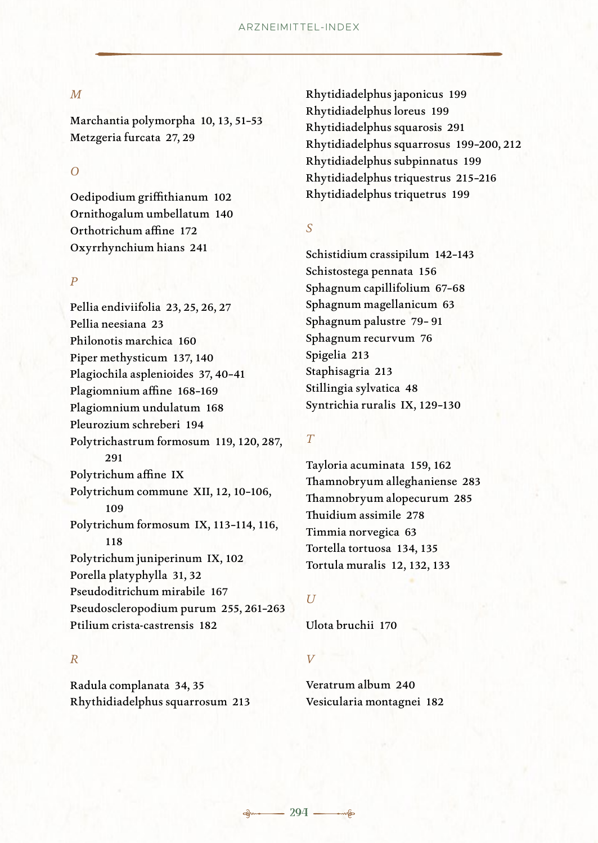#### *M*

Marchantia polymorpha 10, 13, 51–53 Metzgeria furcata 27, 29

#### *O*

Oedipodium griffithianum 102 Ornithogalum umbellatum 140 Orthotrichum affine 172 Oxyrrhynchium hians 241

#### *P*

Pellia endiviifolia 23, 25, 26, 27 Pellia neesiana 23 Philonotis marchica 160 Piper methysticum 137, 140 Plagiochila asplenioides 37, 40–41 Plagiomnium affine 168–169 Plagiomnium undulatum 168 Pleurozium schreberi 194 Polytrichastrum formosum 119, 120, 287, 291 Polytrichum affine IX Polytrichum commune XII, 12, 10–106, 109 Polytrichum formosum IX, 113–114, 116, 118 Polytrichum juniperinum IX, 102 Porella platyphylla 31, 32 Pseudoditrichum mirabile 167 Pseudoscleropodium purum 255, 261–263 Ptilium crista-castrensis 182

#### *R*

Radula complanata 34, 35 Rhythidiadelphus squarrosum 213 Rhytidiadelphus japonicus 199 Rhytidiadelphus loreus 199 Rhytidiadelphus squarosis 291 Rhytidiadelphus squarrosus 199–200, 212 Rhytidiadelphus subpinnatus 199 Rhytidiadelphus triquestrus 215–216 Rhytidiadelphus triquetrus 199

#### *S*

Schistidium crassipilum 142–143 Schistostega pennata 156 Sphagnum capillifolium 67–68 Sphagnum magellanicum 63 Sphagnum palustre 79– 91 Sphagnum recurvum 76 Spigelia 213 Staphisagria 213 Stillingia sylvatica 48 Syntrichia ruralis IX, 129–130

#### *T*

Tayloria acuminata 159, 162 Thamnobryum alleghaniense 283 Thamnobryum alopecurum 285 Thuidium assimile 278 Timmia norvegica 63 Tortella tortuosa 134, 135 Tortula muralis 12, 132, 133

#### *U*

Ulota bruchii 170

### *V*

Veratrum album 240 Vesicularia montagnei 182

$$
-- 294 -
$$

త్త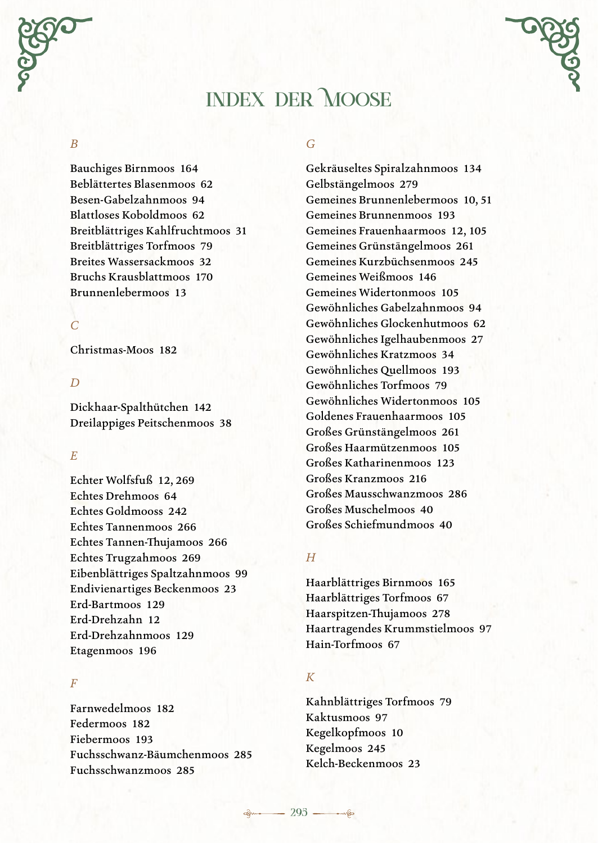# **Index der Moose**

#### *B*

Bauchiges Birnmoos 164 Beblättertes Blasenmoos 62 Besen-Gabelzahnmoos 94 Blattloses Koboldmoos 62 Breitblättriges Kahlfruchtmoos 31 Breitblättriges Torfmoos 79 Breites Wassersackmoos 32 Bruchs Krausblattmoos 170 Brunnenlebermoos 13

#### *C*

Christmas-Moos 182

#### *D*

Dickhaar-Spalthütchen 142 Dreilappiges Peitschenmoos 38

#### *E*

Echter Wolfsfuß 12, 269 Echtes Drehmoos 64 Echtes Goldmooss 242 Echtes Tannenmoos 266 Echtes Tannen-Thujamoos 266 Echtes Trugzahmoos 269 Eibenblättriges Spaltzahnmoos 99 Endivienartiges Beckenmoos 23 Erd-Bartmoos 129 Erd-Drehzahn 12 Erd-Drehzahnmoos 129 Etagenmoos 196

#### *F*

Farnwedelmoos 182 Federmoos 182 Fiebermoos 193 Fuchsschwanz-Bäumchenmoos 285 Fuchsschwanzmoos 285

#### *G*

Gekräuseltes Spiralzahnmoos 134 Gelbstängelmoos 279 Gemeines Brunnenlebermoos 10, 51 Gemeines Brunnenmoos 193 Gemeines Frauenhaarmoos 12, 105 Gemeines Grünstängelmoos 261 Gemeines Kurzbüchsenmoos 245 Gemeines Weißmoos 146 Gemeines Widertonmoos 105 Gewöhnliches Gabelzahnmoos 94 Gewöhnliches Glockenhutmoos 62 Gewöhnliches Igelhaubenmoos 27 Gewöhnliches Kratzmoos 34 Gewöhnliches Quellmoos 193 Gewöhnliches Torfmoos 79 Gewöhnliches Widertonmoos 105 Goldenes Frauenhaarmoos 105 Großes Grünstängelmoos 261 Großes Haarmützenmoos 105 Großes Katharinenmoos 123 Großes Kranzmoos 216 Großes Mausschwanzmoos 286 Großes Muschelmoos 40 Großes Schiefmundmoos 40

#### *H*

Haarblättriges Birnmoos 165 Haarblättriges Torfmoos 67 Haarspitzen-Thujamoos 278 Haartragendes Krummstielmoos 97 Hain-Torfmoos 67

#### *K*

Kahnblättriges Torfmoos 79 Kaktusmoos 97 Kegelkopfmoos 10 Kegelmoos 245 Kelch-Beckenmoos 23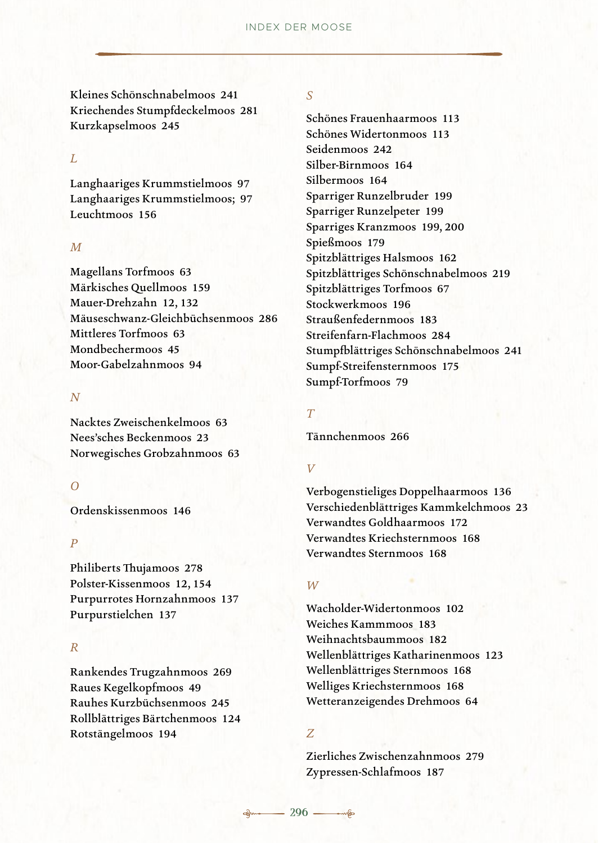Kleines Schönschnabelmoos 241 Kriechendes Stumpfdeckelmoos 281 Kurzkapselmoos 245

#### $L$

Langhaariges Krummstielmoos 97 Langhaariges Krummstielmoos; 97 Leuchtmoos 156

#### *M*

Magellans Torfmoos 63 Märkisches Quellmoos 159 Mauer-Drehzahn 12, 132 Mäuseschwanz-Gleichbüchsenmoos 286 Mittleres Torfmoos 63 Mondbechermoos 45 Moor-Gabelzahnmoos 94

#### *N*

Nacktes Zweischenkelmoos 63 Nees'sches Beckenmoos 23 Norwegisches Grobzahnmoos 63

#### *O*

Ordenskissenmoos 146

#### *P*

Philiberts Thujamoos 278 Polster-Kissenmoos 12, 154 Purpurrotes Hornzahnmoos 137 Purpurstielchen 137

#### *R*

Rankendes Trugzahnmoos 269 Raues Kegelkopfmoos 49 Rauhes Kurzbüchsenmoos 245 Rollblättriges Bärtchenmoos 124 Rotstängelmoos 194

# *S*

Schönes Frauenhaarmoos 113 Schönes Widertonmoos 113 Seidenmoos 242 Silber-Birnmoos 164 Silbermoos 164 Sparriger Runzelbruder 199 Sparriger Runzelpeter 199 Sparriges Kranzmoos 199, 200 Spießmoos 179 Spitzblättriges Halsmoos 162 Spitzblättriges Schönschnabelmoos 219 Spitzblättriges Torfmoos 67 Stockwerkmoos 196 Straußenfedernmoos 183 Streifenfarn-Flachmoos 284 Stumpfblättriges Schönschnabelmoos 241 Sumpf-Streifensternmoos 175 Sumpf-Torfmoos 79

#### *T*

Tännchenmoos 266

#### *V*

Verbogenstieliges Doppelhaarmoos 136 Verschiedenblättriges Kammkelchmoos 23 Verwandtes Goldhaarmoos 172 Verwandtes Kriechsternmoos 168 Verwandtes Sternmoos 168

#### *W*

Wacholder-Widertonmoos 102 Weiches Kammmoos 183 Weihnachtsbaummoos 182 Wellenblättriges Katharinenmoos 123 Wellenblättriges Sternmoos 168 Welliges Kriechsternmoos 168 Wetteranzeigendes Drehmoos 64

#### *Z*

Zierliches Zwischenzahnmoos 279 Zypressen-Schlafmoos 187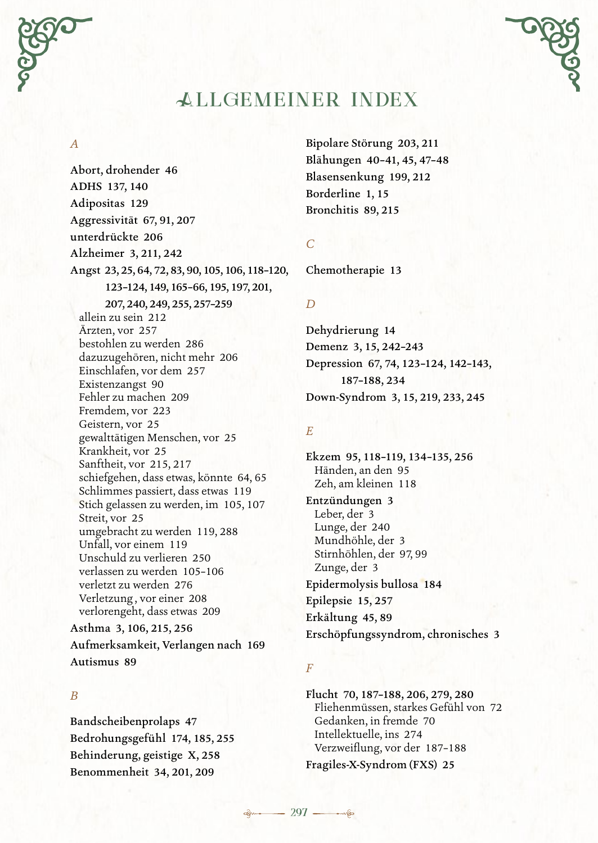

### *A*

Abort, drohender 46 ADHS 137, 140 Adipositas 129 Aggressivität 67, 91, 207 unterdrückte 206 Alzheimer 3, 211, 242 Angst 23, 25, 64, 72, 83, 90, 105, 106, 118–120, 123–124, 149, 165–66, 195, 197, 201, 207, 240, 249, 255, 257–259 allein zu sein 212 Ärzten, vor 257 bestohlen zu werden 286 dazuzugehören, nicht mehr 206 Einschlafen, vor dem 257 Existenzangst 90 Fehler zu machen 209 Fremdem, vor 223 Geistern, vor 25 gewalttätigen Menschen, vor 25 Krankheit, vor 25 Sanftheit, vor 215, 217 schiefgehen, dass etwas, könnte 64, 65 Schlimmes passiert, dass etwas 119 Stich gelassen zu werden, im 105, 107 Streit, vor 25 umgebracht zu werden 119, 288 Unfall, vor einem 119 Unschuld zu verlieren 250 verlassen zu werden 105–106 verletzt zu werden 276 Verletzung , vor einer 208 verlorengeht, dass etwas 209 Asthma 3, 106, 215, 256 Aufmerksamkeit, Verlangen nach 169

#### *B*

Autismus 89

Bandscheibenprolaps 47 Bedrohungsgefühl 174, 185, 255 Behinderung, geistige X, 258 Benommenheit 34, 201, 209

Bipolare Störung 203, 211 Blähungen 40–41, 45, 47–48 Blasensenkung 199, 212 Borderline 1, 15 Bronchitis 89, 215

*C*

Chemotherapie 13

#### *D*

Dehydrierung 14 Demenz 3, 15, 242–243 Depression 67, 74, 123–124, 142–143, 187–188, 234 Down-Syndrom 3, 15, 219, 233, 245

#### *E*

Ekzem 95, 118–119, 134–135, 256 Händen, an den 95 Zeh, am kleinen 118 Entzündungen 3 Leber, der 3 Lunge, der 240 Mundhöhle, der 3 Stirnhöhlen, der 97, 99 Zunge, der 3 Epidermolysis bullosa 184 Epilepsie 15, 257 Erkältung 45, 89 Erschöpfungssyndrom, chronisches 3

#### *F*

Flucht 70, 187–188, 206, 279, 280 Fliehenmüssen, starkes Gefühl von 72 Gedanken, in fremde 70 Intellektuelle, ins 274 Verzweiflung, vor der 187–188 Fragiles-X-Syndrom (FXS) 25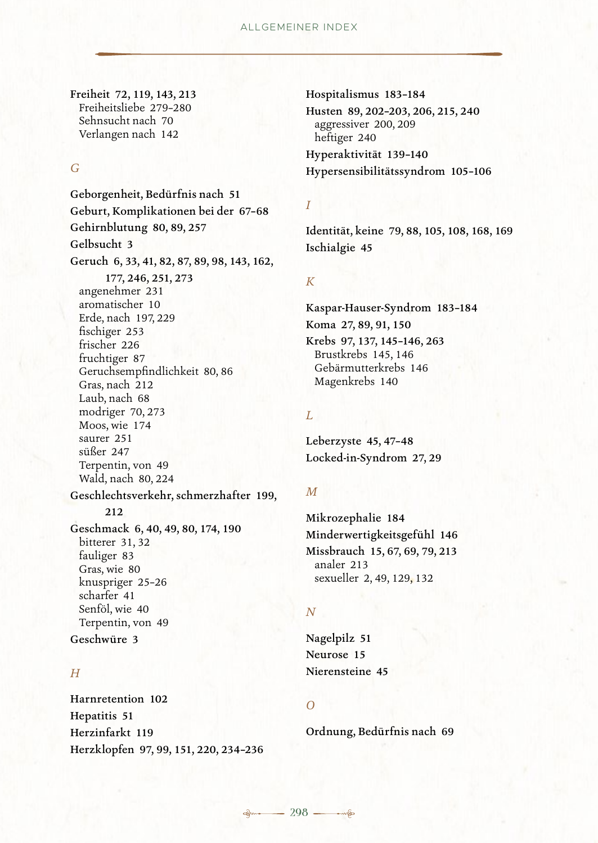Freiheit 72, 119, 143, 213 Freiheitsliebe 279–280 Sehnsucht nach 70 Verlangen nach 142

#### *G*

Geborgenheit, Bedürfnis nach 51 Geburt, Komplikationen bei der 67–68 Gehirnblutung 80, 89, 257 Gelbsucht 3 Geruch 6, 33, 41, 82, 87, 89, 98, 143, 162, 177, 246, 251, 273 angenehmer 231 aromatischer 10 Erde, nach 197, 229 fischiger 253 frischer 226 fruchtiger 87 Geruchsempfindlichkeit 80, 86 Gras, nach 212 Laub, nach 68 modriger 70, 273 Moos, wie 174 saurer 251 süßer 247 Terpentin, von 49 Wald, nach 80, 224 Geschlechtsverkehr, schmerzhafter 199, 212 Geschmack 6, 40, 49, 80, 174, 190 bitterer 31, 32 fauliger 83 Gras, wie 80 knuspriger 25–26 scharfer 41 Senföl, wie 40 Terpentin, von 49 Geschwüre 3

# *H*

Harnretention 102 Hepatitis 51 Herzinfarkt 119 Herzklopfen 97, 99, 151, 220, 234–236 Hospitalismus 183–184 Husten 89, 202–203, 206, 215, 240 aggressiver 200, 209 heftiger 240 Hyperaktivität 139–140 Hypersensibilitätssyndrom 105–106

#### *I*

Identität, keine 79, 88, 105, 108, 168, 169 Ischialgie 45

#### *K*

Kaspar-Hauser-Syndrom 183–184 Koma 27, 89, 91, 150 Krebs 97, 137, 145–146, 263 Brustkrebs 145, 146 Gebärmutterkrebs 146 Magenkrebs 140

#### *L*

Leberzyste 45, 47–48 Locked-in-Syndrom 27, 29

#### *M*

Mikrozephalie 184 Minderwertigkeitsgefühl 146 Missbrauch 15, 67, 69, 79, 213 analer 213 sexueller 2, 49, 129, 132

#### *N*

Nagelpilz 51 Neurose 15 Nierensteine 45

#### *O*

Ordnung, Bedürfnis nach 69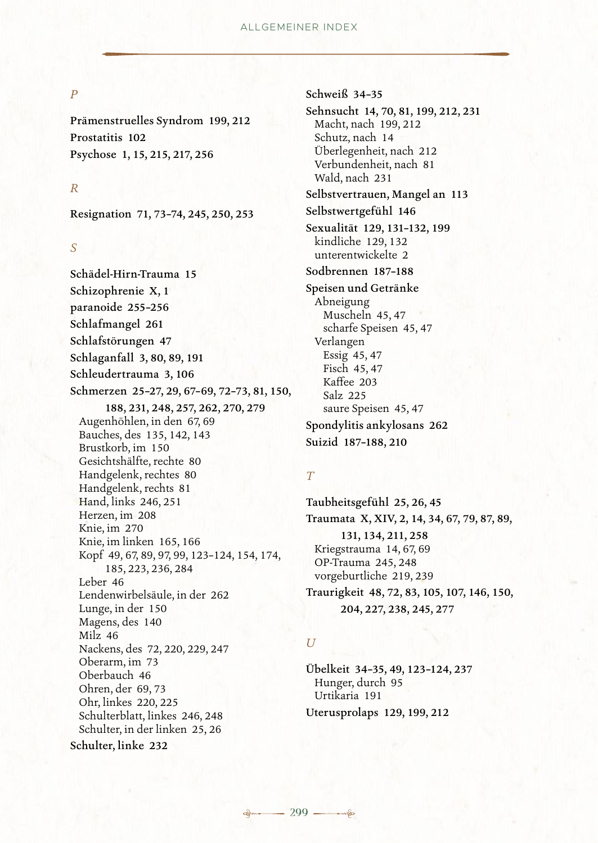#### *P*

Prämenstruelles Syndrom 199, 212 Prostatitis 102 Psychose 1, 15, 215, 217, 256

#### *R*

Resignation 71, 73–74, 245, 250, 253

#### *S*

Schädel-Hirn-Trauma 15 Schizophrenie X, 1 paranoide 255–256 Schlafmangel 261 Schlafstörungen 47 Schlaganfall 3, 80, 89, 191 Schleudertrauma 3, 106 Schmerzen 25–27, 29, 67–69, 72–73, 81, 150, 188, 231, 248, 257, 262, 270, 279 Augenhöhlen, in den 67, 69 Bauches, des 135, 142, 143 Brustkorb, im 150 Gesichtshälfte, rechte 80 Handgelenk, rechtes 80 Handgelenk, rechts 81 Hand, links 246, 251 Herzen, im 208 Knie, im 270 Knie, im linken 165, 166 Kopf 49, 67, 89, 97, 99, 123–124, 154, 174, 185, 223, 236, 284 Leber 46 Lendenwirbelsäule, in der 262 Lunge, in der 150 Magens, des 140 Milz 46 Nackens, des 72, 220, 229, 247 Oberarm, im 73 Oberbauch 46 Ohren, der 69, 73 Ohr, linkes 220, 225 Schulterblatt, linkes 246, 248 Schulter, in der linken 25, 26 Schulter, linke 232

Schweiß 34–35

Sehnsucht 14, 70, 81, 199, 212, 231 Macht, nach 199, 212 Schutz, nach 14 Überlegenheit, nach 212 Verbundenheit, nach 81 Wald, nach 231 Selbstvertrauen, Mangel an 113 Selbstwertgefühl 146 Sexualität 129, 131–132, 199

kindliche 129, 132 unterentwickelte 2

Sodbrennen 187–188

Speisen und Getränke Abneigung Muscheln 45, 47 scharfe Speisen 45, 47 Verlangen Essig 45, 47 Fisch 45, 47 Kaffee 203 Salz 225 saure Speisen 45, 47 Spondylitis ankylosans 262 Suizid 187–188, 210

#### *T*

Taubheitsgefühl 25, 26, 45 Traumata X, XIV, 2, 14, 34, 67, 79, 87, 89, 131, 134, 211, 258 Kriegstrauma 14, 67, 69 OP-Trauma 245, 248 vorgeburtliche 219, 239 Traurigkeit 48, 72, 83, 105, 107, 146, 150, 204, 227, 238, 245, 277

#### *U*

Übelkeit 34–35, 49, 123–124, 237 Hunger, durch 95 Urtikaria 191 Uterusprolaps 129, 199, 212

**298 299**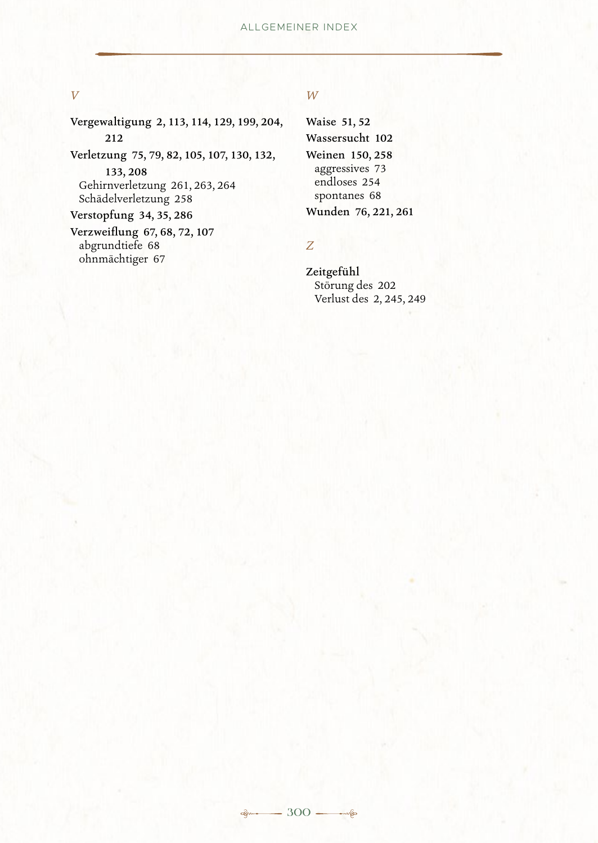#### *V*

Vergewaltigung 2, 113, 114, 129, 199, 204, 212

Verletzung 75, 79, 82, 105, 107, 130, 132, 133, 208

Gehirnverletzung 261, 263, 264 Schädelverletzung 258

Verstopfung 34, 35, 286

Verzweiflung 67, 68, 72, 107 abgrundtiefe 68 ohnmächtiger 67

#### *W*

Waise 51, 52 Wassersucht 102 Weinen 150, 258 aggressives 73 endloses 254 spontanes 68 Wunden 76, 221, 261

### *Z*

Zeitgefühl Störung des 202 Verlust des 2, 245, 249